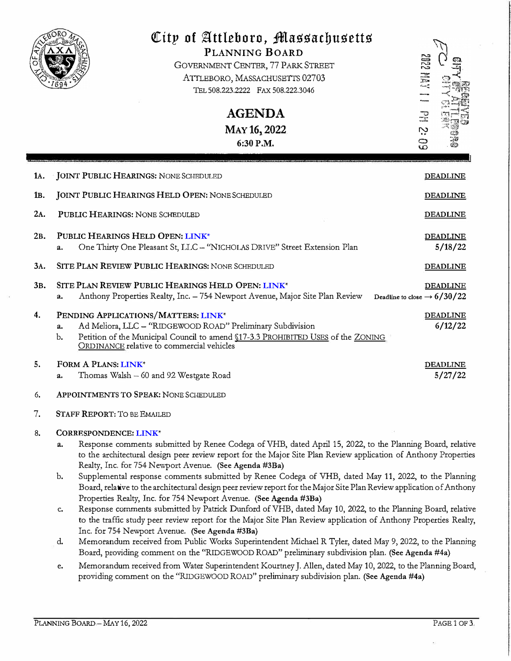|                  | City of Attleboro, Massachusetts<br>PLANNING BOARD<br>GOVERNMENT CENTER, 77 PARK STREET<br>ATTLEBORO, MASSACHUSETTS 02703<br>TEL 508.223.2222 FAX 508.222.3046<br><b>AGENDA</b><br>MAY 16, 2022<br>6:30 P.M.                                   | <b>ZDP2 PM2</b><br>$\mathbb{R}$<br>Ņ<br>69                 |
|------------------|------------------------------------------------------------------------------------------------------------------------------------------------------------------------------------------------------------------------------------------------|------------------------------------------------------------|
| 1A.              | <b>JOINT PUBLIC HEARINGS: NONE SCHEDULED</b>                                                                                                                                                                                                   | <b>DEADLINE</b>                                            |
| 1 <sub>B</sub> . | JOINT PUBLIC HEARINGS HELD OPEN: NONE SCHEDULED                                                                                                                                                                                                | <b>DEADLINE</b>                                            |
| 2A.              | PUBLIC HEARINGS: NONE SCHEDULED                                                                                                                                                                                                                | <b>DEADLINE</b>                                            |
| 2B.              | PUBLIC HEARINGS HELD OPEN: LINK*<br>One Thirty One Pleasant St, LLC - "NICHOLAS DRIVE" Street Extension Plan<br>a.                                                                                                                             | <b>DEADLINE</b><br>5/18/22                                 |
| 3A.              | SITE PLAN REVIEW PUBLIC HEARINGS; NONE SCHEDULED                                                                                                                                                                                               | <b>DEADLINE</b>                                            |
| 3 <sub>B</sub> . | SITE PLAN REVIEW PUBLIC HEARINGS HELD OPEN: LINK*<br>Anthony Properties Realty, Inc. - 754 Newport Avenue, Major Site Plan Review<br>a.                                                                                                        | <b>DEADLINE</b><br>Deadline to close $\rightarrow 6/30/22$ |
| 4.               | PENDING APPLICATIONS/MATTERS: LINK*<br>Ad Meliora, LLC - "RIDGEWOOD ROAD" Preliminary Subdivision<br>a.<br>Petition of the Municipal Council to amend §17-3.3 PROHIBITED USES of the ZONING<br>b.<br>ORDINANCE relative to commercial vehicles | <b>DEADLINE</b><br>6/12/22                                 |
| 5.               | FORM A PLANS: LINK*<br>Thomas Walsh - 60 and 92 Westgate Road<br>a.                                                                                                                                                                            | <b>DEADLINE</b><br>5/27/22                                 |
| 6.               | APPOINTMENTS TO SPEAK: NONE SCHEDULED                                                                                                                                                                                                          |                                                            |
| 7.               | <b>STAFF REPORT: TO BE EMAILED</b>                                                                                                                                                                                                             |                                                            |

## 8. CORRESPONDENCE: **[LINK](https://drive.google.com/drive/folders/1csMkvvUWgc3PHRPHSo1tJuTJHe4w61Ji?usp=sharing)**\*

- a. Response comments submitted by Renee Codega of VHB, dated April 15, 2022, to the Planning Board, relative to the architectural design peer review report for the Major Site Plan Review application of Anthony Properties Realty, Inc. for 754 Newport Avenue. (See Agenda #3Ba)
- b. Supplemental response comments submitted by Renee Codega of VHB, dated May 11, 2022, to the Planning Board, relative to the architectural design peer review report for theMajor Site Plan Review application of Anthony Properties Realty, Inc. for 754 Newport Avenue. (See Agenda #3Ba)
- c. Response comments submitted by Patrick Dunford of VHB, dated May 10, 2022, to the Planning Board, relative to the traffic study peer review report for the Major Site Plan Review application of Anthony Properties Realty, Inc. for 754 Newport Avenue. (See Agenda #3Ba)
- d. Memorandum received from Public Works Superintendent Michael R Tyler, dated May 9, 2022, to the Planniog Board, providing comment on the "RIDGEWOOD ROAD" preliminary subdivision plan. (See Agenda #4a)
- e. Memorandum received from Water Superintendent Kourtney J. Allen, dated May 10, 2022, to the Planning Board, providing comment on the ''RJDGEWOOD ROAD" preliminary subdivision plan. (See Agenda #4a)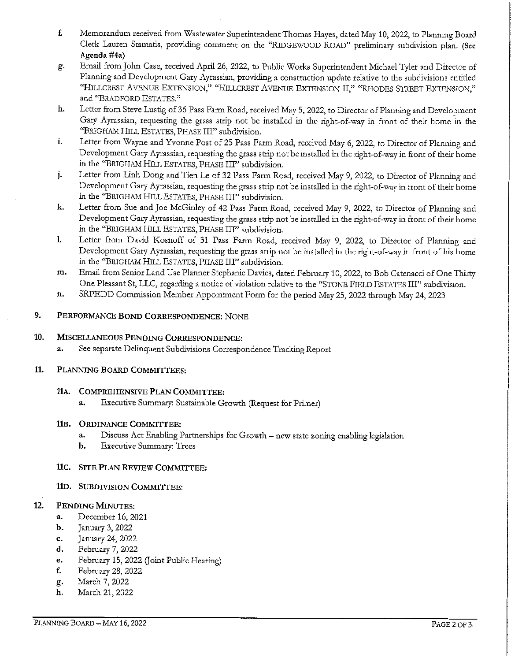- f. Memorandum received from Wastewater Superintendent Thomas Hayes, dated May 10, 2022, to Planning Board Clerk Lauren Stamatis, providing comment on the "RIDGEWOOD ROAD" preliminary subdivision plan. (See Agenda #4a)
- Email from John Case, received April 26, 2022, to Public Works Superintendent Michael Tyler and Director of g. Planning and Development Gary Ayrassian, providing a construction update relative to the subdivisions entitled "HILLCREST AVENUE EXTENSION," "HILLCREST AVENUE EXTENSION II," "RHODES STREET EXTENSION," and "BRADFORD ESTATES."
- Letter from Steve Lustig of 36 Pass Farm Road, received May 5, 2022, to Director of Planning and Development h. Gary Ayrassian, requesting the grass strip not be installed in the right-of-way in front of their home in the "BRIGHAM HILL ESTATES, PHASE III" subdivision.
- Letter from Wayne and Yvonne Post of 25 Pass Farm Road, received May 6, 2022, to Director of Planning and i. Development Gary Ayrassian, requesting the grass strip not be installed in the right-of-way in front of their home in the "BRIGHAM HILL ESTATES, PHASE III" subdivision.
- Letter from Linh Dong and Tien Le of 32 Pass Farm Road, received May 9, 2022, to Director of Planning and j. Development Gary Ayrassian, requesting the grass strip not be installed in the right-of-way in front of their home in the "BRIGHAM HILL ESTATES, PHASE III" subdivision.
- k. Letter from Sue and Joe McGinley of 42 Pass Farm Road, received May 9, 2022, to Director of Planning and Development Gary Ayrassian, requesting the grass strip not be installed in the right-of-way in front of their home in the "BRIGHAM HILL ESTATES, PHASE III" subdivision.
- I. Letter from David Kosnoff of 31 Pass Farm Road, received May 9, 2022, to Director of Planning and Development Gary Ayrassian, requesting the grass strip not be installed in the right-of-way in front of his home in the "BRIGHAM HILL ESTATES, PHASE III" subdivision.
- m. Email from Senior Land Use Planner Stephanie Davies, dated February 10, 2022, to Bob Catenacci of One Thirty One Pleasant St, LLC, regarding a notice of violation relative to the "STONE FIELD ESTATES III" subdivision.
- n. SRPEDD Commission Member Appointment Form for the period May 25, 2022 through May 24, 2023.

### 9. PERFORMANCE BOND CORRESPONDENCE: NONE

### 10. MISCELLANEOUS PENDING CORRESPONDENCE:

See separate Delinquent Subdivisions Correspondence Tracking Report a.

#### 11. PLANNING BOARD COMMITTEES:

# 11A. COMPREHENSIVE PLAN COMMITTEE:

Executive Summary: Sustainable Growth (Request for Primer) a.

# 11B. ORDINANCE COMMITTEE:

- a. Discuss Act Enabling Partnerships for Growth - new state zoning enabling legislation
- b. **Executive Summary: Trees**

# 11C. SITE PLAN REVIEW COMMITTEE:

# 11D. SUBDIVISION COMMITTEE:

### 12. PENDING MINUTES:

- a. December 16, 2021
- $\mathbf{b}$ . January 3, 2022
- c. January 24, 2022
- d. February 7, 2022
- e. February 15, 2022 (Joint Public Hearing)
- f. February 28, 2022
- g. March 7, 2022
- March 21, 2022 h.